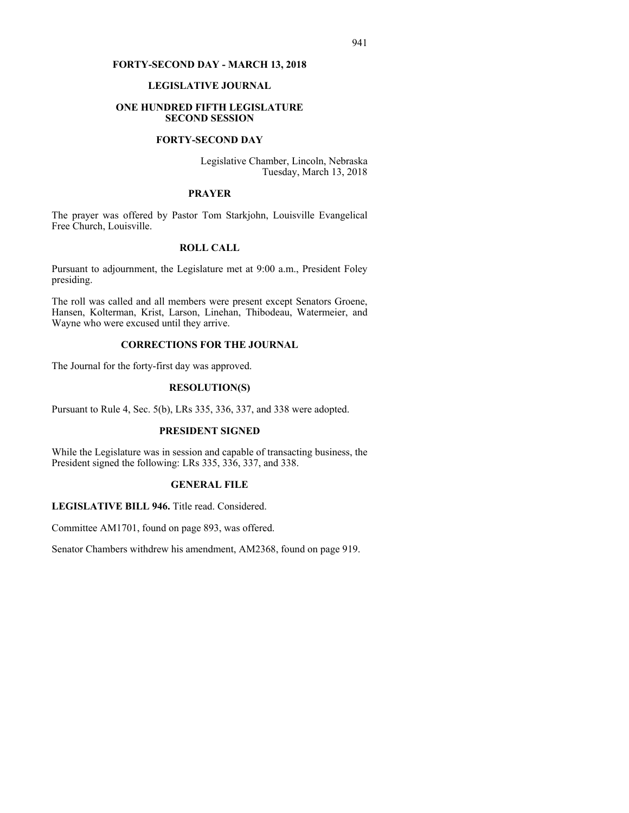#### **FORTY-SECOND DAY - MARCH 13, 2018**

## **LEGISLATIVE JOURNAL**

#### **ONE HUNDRED FIFTH LEGISLATURE SECOND SESSION**

#### **FORTY-SECOND DAY**

Legislative Chamber, Lincoln, Nebraska Tuesday, March 13, 2018

### **PRAYER**

The prayer was offered by Pastor Tom Starkjohn, Louisville Evangelical Free Church, Louisville.

### **ROLL CALL**

Pursuant to adjournment, the Legislature met at 9:00 a.m., President Foley presiding.

The roll was called and all members were present except Senators Groene, Hansen, Kolterman, Krist, Larson, Linehan, Thibodeau, Watermeier, and Wayne who were excused until they arrive.

## **CORRECTIONS FOR THE JOURNAL**

The Journal for the forty-first day was approved.

### **RESOLUTION(S)**

Pursuant to Rule 4, Sec. 5(b), LRs 335, 336, 337, and 338 were adopted.

## **PRESIDENT SIGNED**

While the Legislature was in session and capable of transacting business, the President signed the following: LRs 335, 336, 337, and 338.

#### **GENERAL FILE**

LEGISLATIVE BILL 946. Title read. Considered.

Committee AM1701, found on page 893, was offered.

Senator Chambers withdrew his amendment, AM2368, found on page 919.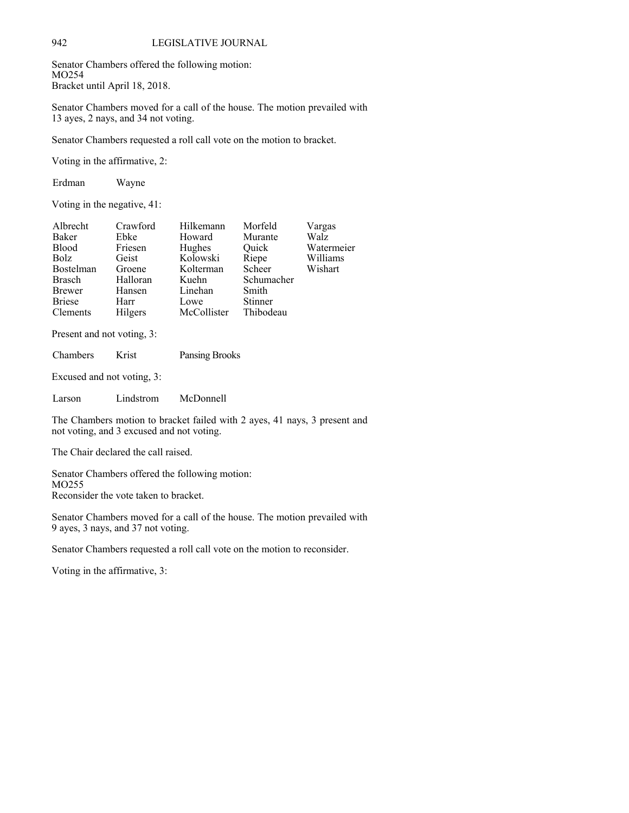Senator Chambers offered the following motion: MO254 Bracket until April 18, 2018.

Senator Chambers moved for a call of the house. The motion prevailed with 13 ayes, 2 nays, and 34 not voting.

Senator Chambers requested a roll call vote on the motion to bracket.

Voting in the affirmative, 2:

Erdman Wayne

Voting in the negative, 41:

| Albrecht         | Crawford | Hilkemann   | Morfeld        | Vargas     |
|------------------|----------|-------------|----------------|------------|
| Baker            | Ebke     | Howard      | Murante        | Walz       |
| <b>Blood</b>     | Friesen  | Hughes      | Ouick          | Watermeier |
| Bolz             | Geist    | Kolowski    | Riepe          | Williams   |
| <b>Bostelman</b> | Groene   | Kolterman   | Scheer         | Wishart    |
| <b>Brasch</b>    | Halloran | Kuehn       | Schumacher     |            |
| <b>Brewer</b>    | Hansen   | Linehan     | Smith          |            |
| <b>Briese</b>    | Harr     | Lowe        | <b>Stinner</b> |            |
| <b>Clements</b>  | Hilgers  | McCollister | Thibodeau      |            |

Present and not voting, 3:

| Chambers | Krist | Pansing Brooks |
|----------|-------|----------------|
|----------|-------|----------------|

Excused and not voting, 3:

The Chambers motion to bracket failed with 2 ayes, 41 nays, 3 present and not voting, and 3 excused and not voting.

The Chair declared the call raised.

Senator Chambers offered the following motion: MO255 Reconsider the vote taken to bracket.

Senator Chambers moved for a call of the house. The motion prevailed with 9 ayes, 3 nays, and 37 not voting.

Senator Chambers requested a roll call vote on the motion to reconsider.

Voting in the affirmative, 3: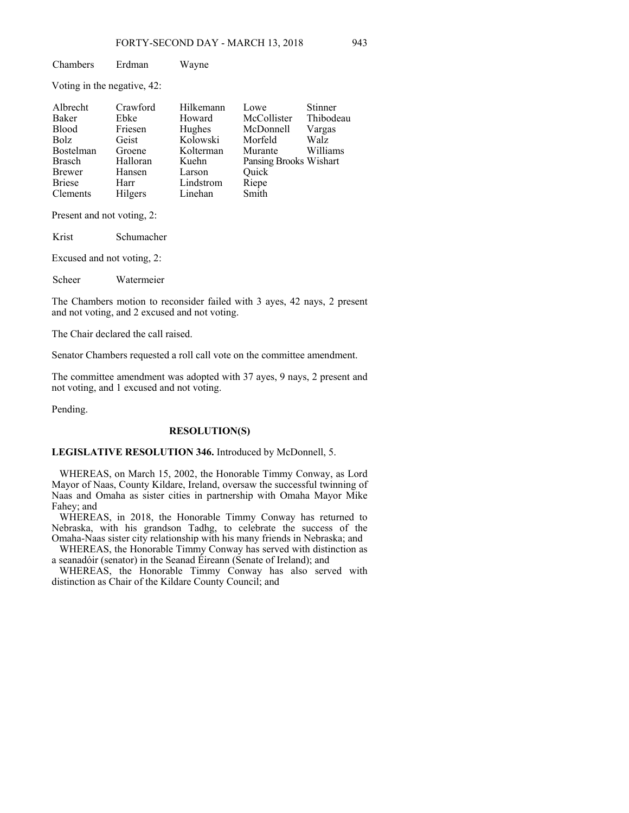Chambers Erdman Wayne

Voting in the negative, 42:

| Albrecht         | Crawford | Hilkemann | Lowe                   | <b>Stinner</b> |
|------------------|----------|-----------|------------------------|----------------|
| Baker            | Ebke     | Howard    | McCollister            | Thibodeau      |
| <b>Blood</b>     | Friesen  | Hughes    | McDonnell              | Vargas         |
| Bolz             | Geist    | Kolowski  | Morfeld                | Walz           |
| <b>Bostelman</b> | Groene   | Kolterman | Murante                | Williams       |
| <b>Brasch</b>    | Halloran | Kuehn     | Pansing Brooks Wishart |                |
| <b>Brewer</b>    | Hansen   | Larson    | Quick                  |                |
| <b>Briese</b>    | Harr     | Lindstrom | Riepe                  |                |
| <b>Clements</b>  | Hilgers  | Linehan   | Smith                  |                |

Present and not voting, 2:

Krist Schumacher

Excused and not voting, 2:

Scheer Watermeier

The Chambers motion to reconsider failed with 3 ayes, 42 nays, 2 present and not voting, and 2 excused and not voting.

The Chair declared the call raised.

Senator Chambers requested a roll call vote on the committee amendment.

The committee amendment was adopted with 37 ayes, 9 nays, 2 present and not voting, and 1 excused and not voting.

Pending.

### **RESOLUTION(S)**

## **LEGISLATIVE RESOLUTION 346.** Introduced by McDonnell, 5.

 WHEREAS, on March 15, 2002, the Honorable Timmy Conway, as Lord Mayor of Naas, County Kildare, Ireland, oversaw the successful twinning of Naas and Omaha as sister cities in partnership with Omaha Mayor Mike Fahey; and

 WHEREAS, in 2018, the Honorable Timmy Conway has returned to Nebraska, with his grandson Tadhg, to celebrate the success of the Omaha-Naas sister city relationship with his many friends in Nebraska; and

 WHEREAS, the Honorable Timmy Conway has served with distinction as a seanadóir (senator) in the Seanad Éireann (Senate of Ireland); and

WHEREAS, the Honorable Timmy Conway has also served with distinction as Chair of the Kildare County Council; and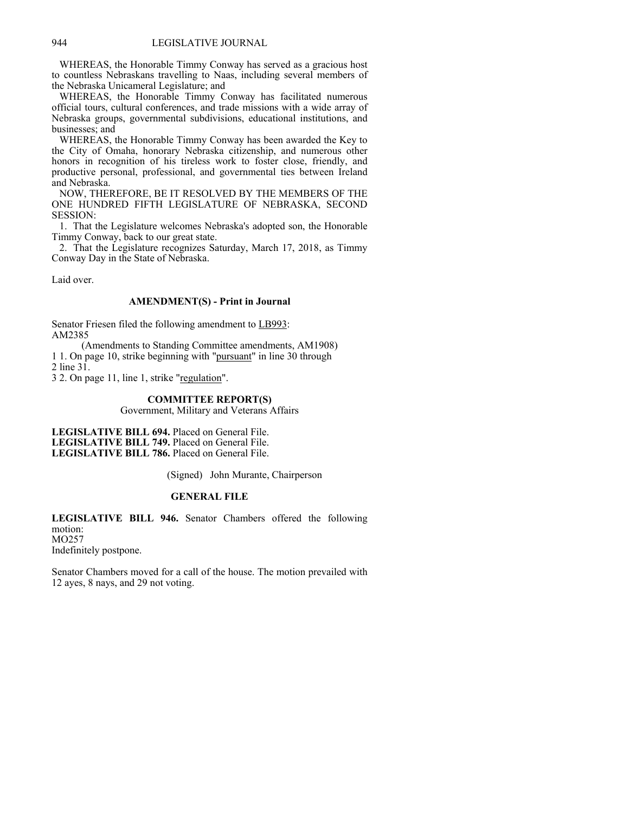WHEREAS, the Honorable Timmy Conway has served as a gracious host to countless Nebraskans travelling to Naas, including several members of the Nebraska Unicameral Legislature; and

 WHEREAS, the Honorable Timmy Conway has facilitated numerous official tours, cultural conferences, and trade missions with a wide array of Nebraska groups, governmental subdivisions, educational institutions, and businesses; and

 WHEREAS, the Honorable Timmy Conway has been awarded the Key to the City of Omaha, honorary Nebraska citizenship, and numerous other honors in recognition of his tireless work to foster close, friendly, and productive personal, professional, and governmental ties between Ireland and Nebraska.

 NOW, THEREFORE, BE IT RESOLVED BY THE MEMBERS OF THE ONE HUNDRED FIFTH LEGISLATURE OF NEBRASKA, SECOND SESSION:

 1. That the Legislature welcomes Nebraska's adopted son, the Honorable Timmy Conway, back to our great state.

 2. That the Legislature recognizes Saturday, March 17, 2018, as Timmy Conway Day in the State of Nebraska.

Laid over.

### **AMENDMENT(S) - Print in Journal**

Senator Friesen filed the following amendment to LB993: AM2385

(Amendments to Standing Committee amendments, AM1908) 1 1. On page 10, strike beginning with "pursuant" in line 30 through 2 line 31.

3 2. On page 11, line 1, strike "regulation".

## **COMMITTEE REPORT(S)**

Government, Military and Veterans Affairs

**LEGISLATIVE BILL 694.** Placed on General File. **LEGISLATIVE BILL 749.** Placed on General File. **LEGISLATIVE BILL 786.** Placed on General File.

(Signed) John Murante, Chairperson

## **GENERAL FILE**

**LEGISLATIVE BILL 946.** Senator Chambers offered the following motion: MO257 Indefinitely postpone.

Senator Chambers moved for a call of the house. The motion prevailed with 12 ayes, 8 nays, and 29 not voting.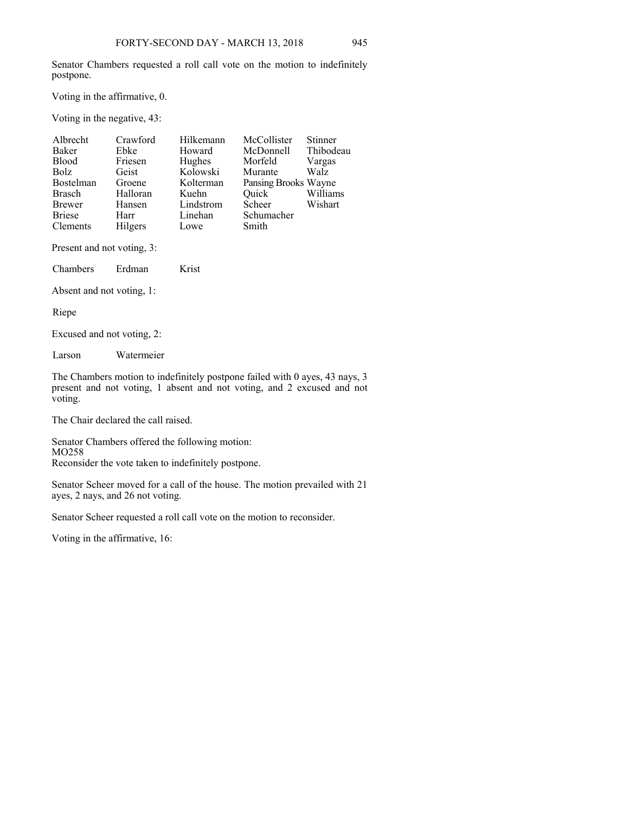Senator Chambers requested a roll call vote on the motion to indefinitely postpone.

Voting in the affirmative, 0.

Voting in the negative, 43:

| Albrecht         | Crawford | Hilkemann | McCollister          | <b>Stinner</b> |
|------------------|----------|-----------|----------------------|----------------|
| <b>Baker</b>     | Ebke     | Howard    | McDonnell            | Thibodeau      |
| <b>Blood</b>     | Friesen  | Hughes    | Morfeld              | Vargas         |
| <b>Bolz</b>      | Geist    | Kolowski  | Murante              | Walz           |
| <b>Bostelman</b> | Groene   | Kolterman | Pansing Brooks Wayne |                |
| <b>Brasch</b>    | Halloran | Kuehn     | Quick                | Williams       |
| <b>Brewer</b>    | Hansen   | Lindstrom | Scheer               | Wishart        |
| <b>Briese</b>    | Harr     | Linehan   | Schumacher           |                |
| <b>Clements</b>  | Hilgers  | Lowe      | Smith                |                |

Present and not voting, 3:

Chambers Erdman Krist

Absent and not voting, 1:

Riepe

Excused and not voting, 2:

Larson Watermeier

The Chambers motion to indefinitely postpone failed with 0 ayes, 43 nays, 3 present and not voting, 1 absent and not voting, and 2 excused and not voting.

The Chair declared the call raised.

Senator Chambers offered the following motion: MO258 Reconsider the vote taken to indefinitely postpone.

Senator Scheer moved for a call of the house. The motion prevailed with 21 ayes, 2 nays, and 26 not voting.

Senator Scheer requested a roll call vote on the motion to reconsider.

Voting in the affirmative, 16: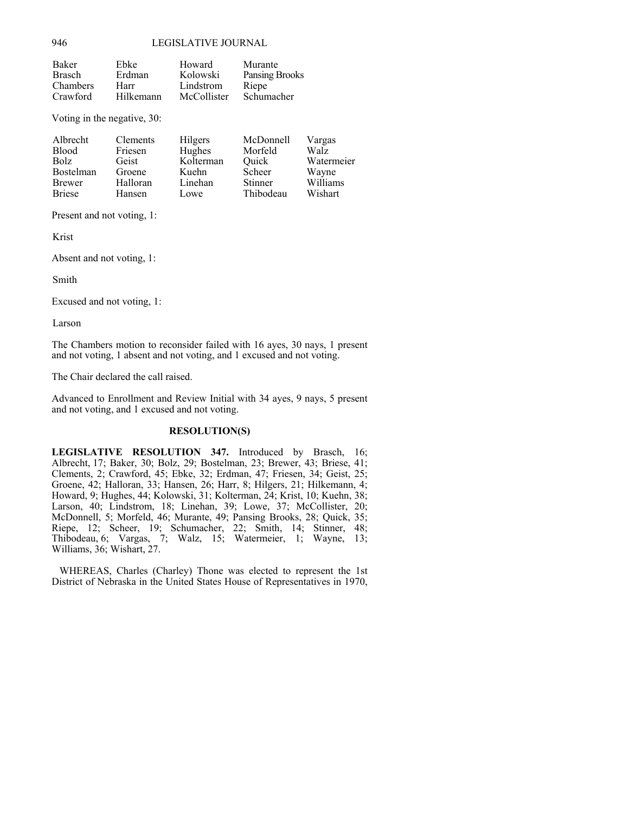| Baker           | Ebke      | Howard      | Murante        |
|-----------------|-----------|-------------|----------------|
| Brasch          | Erdman    | Kolowski    | Pansing Brooks |
| <b>Chambers</b> | Harr      | Lindstrom   | Riepe          |
| Crawford        | Hilkemann | McCollister | Schumacher     |

Voting in the negative, 30:

| Albrecht         | <b>Clements</b> | Hilgers   | McDonnell | Vargas     |
|------------------|-----------------|-----------|-----------|------------|
| <b>Blood</b>     | Friesen         | Hughes    | Morfeld   | Walz       |
| Bolz.            | Geist           | Kolterman | Ouick     | Watermeier |
| <b>Bostelman</b> | Groene          | Kuehn     | Scheer    | Wayne      |
| <b>Brewer</b>    | Halloran        | Linehan   | Stinner   | Williams   |
| <b>Briese</b>    | Hansen          | Lowe      | Thibodeau | Wishart    |

Present and not voting, 1:

Krist

Absent and not voting, 1:

Smith

Excused and not voting, 1:

Larson

The Chambers motion to reconsider failed with 16 ayes, 30 nays, 1 present and not voting, 1 absent and not voting, and 1 excused and not voting.

The Chair declared the call raised.

Advanced to Enrollment and Review Initial with 34 ayes, 9 nays, 5 present and not voting, and 1 excused and not voting.

## **RESOLUTION(S)**

**LEGISLATIVE RESOLUTION 347.** Introduced by Brasch, 16; Albrecht, 17; Baker, 30; Bolz, 29; Bostelman, 23; Brewer, 43; Briese, 41; Clements, 2; Crawford, 45; Ebke, 32; Erdman, 47; Friesen, 34; Geist, 25; Groene, 42; Halloran, 33; Hansen, 26; Harr, 8; Hilgers, 21; Hilkemann, 4; Howard, 9; Hughes, 44; Kolowski, 31; Kolterman, 24; Krist, 10; Kuehn, 38; Larson, 40; Lindstrom, 18; Linehan, 39; Lowe, 37; McCollister, 20; McDonnell, 5; Morfeld, 46; Murante, 49; Pansing Brooks, 28; Quick, 35; Riepe, 12; Scheer, 19; Schumacher, 22; Smith, 14; Stinner, 48; Thibodeau, 6; Vargas, 7; Walz, 15; Watermeier, 1; Wayne, 13; Williams, 36; Wishart, 27.

 WHEREAS, Charles (Charley) Thone was elected to represent the 1st District of Nebraska in the United States House of Representatives in 1970,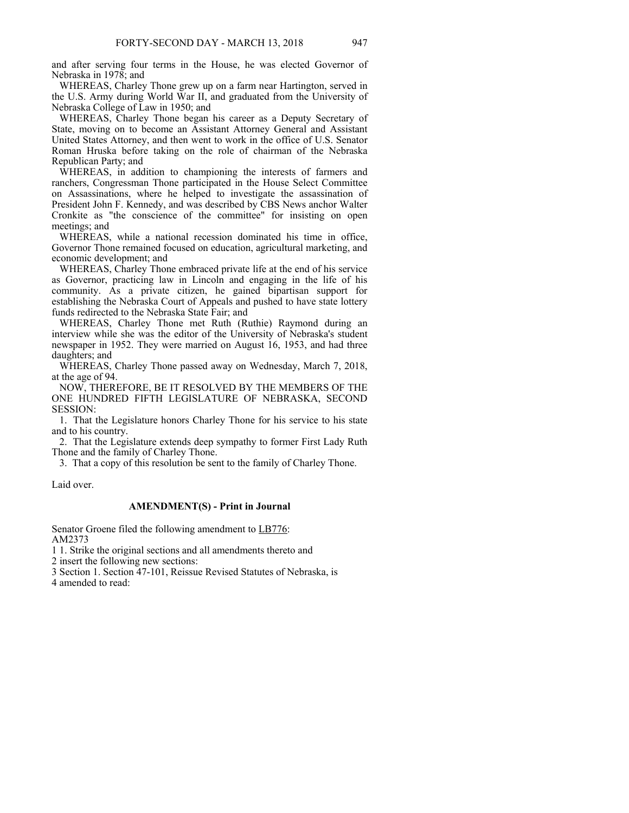and after serving four terms in the House, he was elected Governor of Nebraska in 1978; and

 WHEREAS, Charley Thone grew up on a farm near Hartington, served in the U.S. Army during World War II, and graduated from the University of Nebraska College of Law in 1950; and

 WHEREAS, Charley Thone began his career as a Deputy Secretary of State, moving on to become an Assistant Attorney General and Assistant United States Attorney, and then went to work in the office of U.S. Senator Roman Hruska before taking on the role of chairman of the Nebraska Republican Party; and

 WHEREAS, in addition to championing the interests of farmers and ranchers, Congressman Thone participated in the House Select Committee on Assassinations, where he helped to investigate the assassination of President John F. Kennedy, and was described by CBS News anchor Walter Cronkite as "the conscience of the committee" for insisting on open meetings; and

 WHEREAS, while a national recession dominated his time in office, Governor Thone remained focused on education, agricultural marketing, and economic development; and

 WHEREAS, Charley Thone embraced private life at the end of his service as Governor, practicing law in Lincoln and engaging in the life of his community. As a private citizen, he gained bipartisan support for establishing the Nebraska Court of Appeals and pushed to have state lottery funds redirected to the Nebraska State Fair; and

 WHEREAS, Charley Thone met Ruth (Ruthie) Raymond during an interview while she was the editor of the University of Nebraska's student newspaper in 1952. They were married on August 16, 1953, and had three daughters; and

 WHEREAS, Charley Thone passed away on Wednesday, March 7, 2018, at the age of 94.

 NOW, THEREFORE, BE IT RESOLVED BY THE MEMBERS OF THE ONE HUNDRED FIFTH LEGISLATURE OF NEBRASKA, SECOND SESSION:

 1. That the Legislature honors Charley Thone for his service to his state and to his country.

 2. That the Legislature extends deep sympathy to former First Lady Ruth Thone and the family of Charley Thone.

3. That a copy of this resolution be sent to the family of Charley Thone.

Laid over.

#### **AMENDMENT(S) - Print in Journal**

Senator Groene filed the following amendment to **LB776**: AM2373

1 1. Strike the original sections and all amendments thereto and

2 insert the following new sections:

3 Section 1. Section 47-101, Reissue Revised Statutes of Nebraska, is 4 amended to read: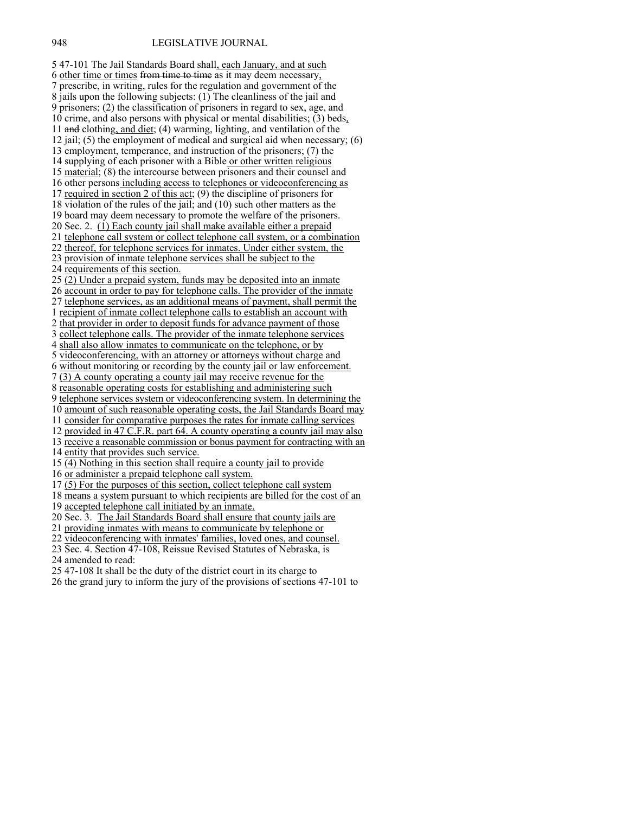5 47-101 The Jail Standards Board shall, each January, and at such 6 other time or times from time to time as it may deem necessary, 7 prescribe, in writing, rules for the regulation and government of the 8 jails upon the following subjects: (1) The cleanliness of the jail and 9 prisoners; (2) the classification of prisoners in regard to sex, age, and 10 crime, and also persons with physical or mental disabilities; (3) beds, 11 and clothing, and diet; (4) warming, lighting, and ventilation of the 12 jail; (5) the employment of medical and surgical aid when necessary; (6) 13 employment, temperance, and instruction of the prisoners; (7) the 14 supplying of each prisoner with a Bible or other written religious 15 material; (8) the intercourse between prisoners and their counsel and 16 other persons including access to telephones or videoconferencing as 17 required in section 2 of this act; (9) the discipline of prisoners for 18 violation of the rules of the jail; and (10) such other matters as the 19 board may deem necessary to promote the welfare of the prisoners. 20 Sec. 2. (1) Each county jail shall make available either a prepaid 21 telephone call system or collect telephone call system, or a combination 22 thereof, for telephone services for inmates. Under either system, the 23 provision of inmate telephone services shall be subject to the 24 requirements of this section. 25 (2) Under a prepaid system, funds may be deposited into an inmate 26 account in order to pay for telephone calls. The provider of the inmate 27 telephone services, as an additional means of payment, shall permit the 1 recipient of inmate collect telephone calls to establish an account with 2 that provider in order to deposit funds for advance payment of those 3 collect telephone calls. The provider of the inmate telephone services 4 shall also allow inmates to communicate on the telephone, or by 5 videoconferencing, with an attorney or attorneys without charge and 6 without monitoring or recording by the county jail or law enforcement. 7 (3) A county operating a county jail may receive revenue for the 8 reasonable operating costs for establishing and administering such 9 telephone services system or videoconferencing system. In determining the 10 amount of such reasonable operating costs, the Jail Standards Board may 11 consider for comparative purposes the rates for inmate calling services 12 provided in 47 C.F.R. part 64. A county operating a county jail may also 13 receive a reasonable commission or bonus payment for contracting with an 14 entity that provides such service. 15 (4) Nothing in this section shall require a county jail to provide 16 or administer a prepaid telephone call system. 17 (5) For the purposes of this section, collect telephone call system 18 means a system pursuant to which recipients are billed for the cost of an 19 accepted telephone call initiated by an inmate. 20 Sec. 3. The Jail Standards Board shall ensure that county jails are 21 providing inmates with means to communicate by telephone or 22 videoconferencing with inmates' families, loved ones, and counsel.

23 Sec. 4. Section 47-108, Reissue Revised Statutes of Nebraska, is 24 amended to read:

25 47-108 It shall be the duty of the district court in its charge to

26 the grand jury to inform the jury of the provisions of sections 47-101 to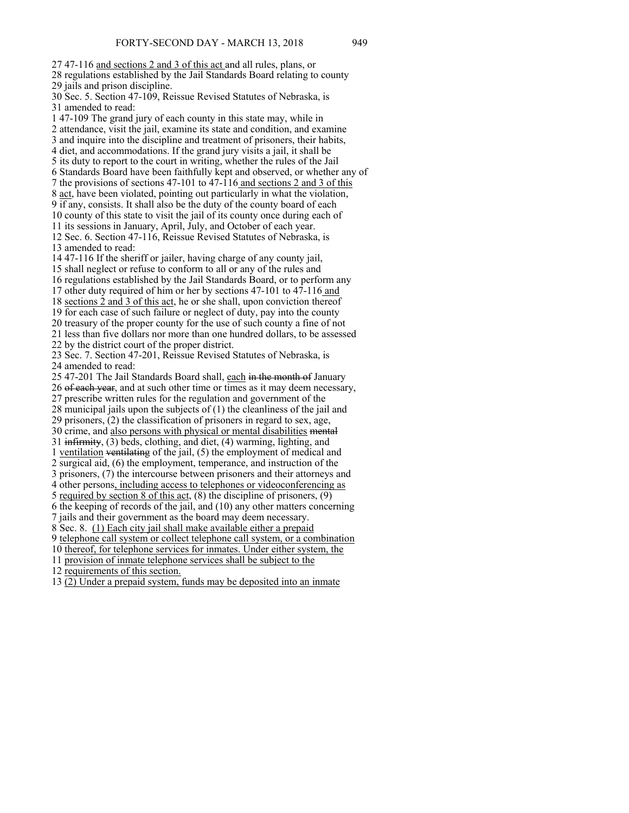27 47-116 and sections 2 and 3 of this act and all rules, plans, or 28 regulations established by the Jail Standards Board relating to county 29 jails and prison discipline.

30 Sec. 5. Section 47-109, Reissue Revised Statutes of Nebraska, is 31 amended to read:

1 47-109 The grand jury of each county in this state may, while in 2 attendance, visit the jail, examine its state and condition, and examine 3 and inquire into the discipline and treatment of prisoners, their habits, 4 diet, and accommodations. If the grand jury visits a jail, it shall be 5 its duty to report to the court in writing, whether the rules of the Jail 6 Standards Board have been faithfully kept and observed, or whether any of 7 the provisions of sections 47-101 to 47-116 and sections 2 and 3 of this 8 act, have been violated, pointing out particularly in what the violation, 9 if any, consists. It shall also be the duty of the county board of each 10 county of this state to visit the jail of its county once during each of 11 its sessions in January, April, July, and October of each year. 12 Sec. 6. Section 47-116, Reissue Revised Statutes of Nebraska, is 13 amended to read: 14 47-116 If the sheriff or jailer, having charge of any county jail, 15 shall neglect or refuse to conform to all or any of the rules and 16 regulations established by the Jail Standards Board, or to perform any 17 other duty required of him or her by sections 47-101 to 47-116 and 18 sections 2 and 3 of this act, he or she shall, upon conviction thereof 19 for each case of such failure or neglect of duty, pay into the county 20 treasury of the proper county for the use of such county a fine of not 21 less than five dollars nor more than one hundred dollars, to be assessed 22 by the district court of the proper district. 23 Sec. 7. Section 47-201, Reissue Revised Statutes of Nebraska, is 24 amended to read: 25 47-201 The Jail Standards Board shall, each in the month of January 26 of each year, and at such other time or times as it may deem necessary, 27 prescribe written rules for the regulation and government of the 28 municipal jails upon the subjects of (1) the cleanliness of the jail and 29 prisoners, (2) the classification of prisoners in regard to sex, age, 30 crime, and also persons with physical or mental disabilities mental 31 infirmity, (3) beds, clothing, and diet, (4) warming, lighting, and 1 ventilation ventilating of the jail, (5) the employment of medical and 2 surgical aid, (6) the employment, temperance, and instruction of the 3 prisoners, (7) the intercourse between prisoners and their attorneys and 4 other persons, including access to telephones or videoconferencing as 5 required by section 8 of this act, (8) the discipline of prisoners, (9) 6 the keeping of records of the jail, and (10) any other matters concerning 7 jails and their government as the board may deem necessary. 8 Sec. 8. (1) Each city jail shall make available either a prepaid 9 telephone call system or collect telephone call system, or a combination

10 thereof, for telephone services for inmates. Under either system, the

11 provision of inmate telephone services shall be subject to the

12 requirements of this section.

13 (2) Under a prepaid system, funds may be deposited into an inmate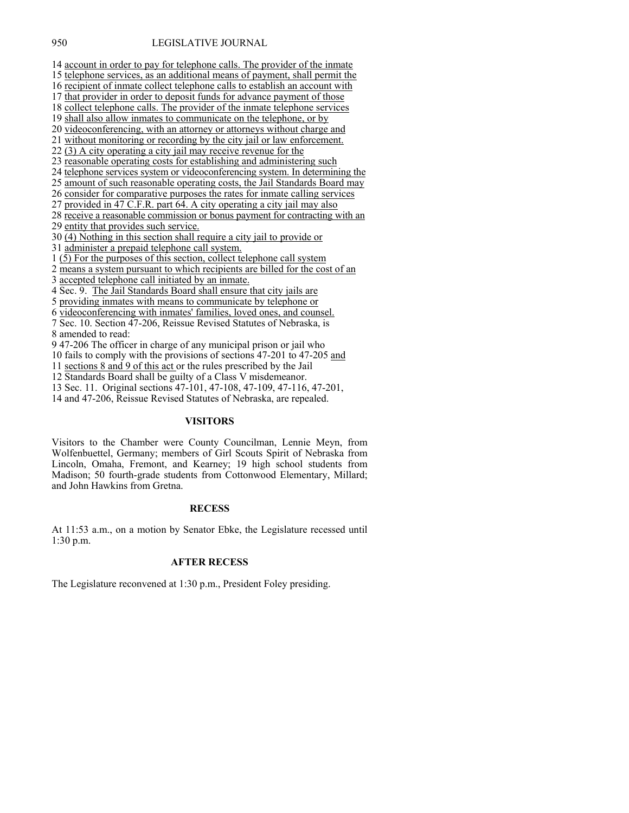14 account in order to pay for telephone calls. The provider of the inmate

- 15 telephone services, as an additional means of payment, shall permit the
- 16 recipient of inmate collect telephone calls to establish an account with
- 17 that provider in order to deposit funds for advance payment of those
- 18 collect telephone calls. The provider of the inmate telephone services
- 19 shall also allow inmates to communicate on the telephone, or by
- 20 videoconferencing, with an attorney or attorneys without charge and
- 21 without monitoring or recording by the city jail or law enforcement.
- 22 (3) A city operating a city jail may receive revenue for the
- 23 reasonable operating costs for establishing and administering such
- 24 telephone services system or videoconferencing system. In determining the
- 25 amount of such reasonable operating costs, the Jail Standards Board may
- 26 consider for comparative purposes the rates for inmate calling services
- 27 provided in 47 C.F.R. part 64. A city operating a city jail may also
- 28 receive a reasonable commission or bonus payment for contracting with an 29 entity that provides such service.
- $30\overline{(4)}$  Nothing in this section shall require a city jail to provide or
- 31 administer a prepaid telephone call system.
- 1 (5) For the purposes of this section, collect telephone call system
- 2 means a system pursuant to which recipients are billed for the cost of an
- 3 accepted telephone call initiated by an inmate.
- 4 Sec. 9. The Jail Standards Board shall ensure that city jails are
- 5 providing inmates with means to communicate by telephone or
- 6 videoconferencing with inmates' families, loved ones, and counsel.
- 7 Sec. 10. Section 47-206, Reissue Revised Statutes of Nebraska, is
- 8 amended to read:
- 9 47-206 The officer in charge of any municipal prison or jail who
- 10 fails to comply with the provisions of sections 47-201 to 47-205 and
- 11 sections 8 and 9 of this act or the rules prescribed by the Jail
- 12 Standards Board shall be guilty of a Class V misdemeanor.
- 13 Sec. 11. Original sections 47-101, 47-108, 47-109, 47-116, 47-201,
- 14 and 47-206, Reissue Revised Statutes of Nebraska, are repealed.

## **VISITORS**

Visitors to the Chamber were County Councilman, Lennie Meyn, from Wolfenbuettel, Germany; members of Girl Scouts Spirit of Nebraska from Lincoln, Omaha, Fremont, and Kearney; 19 high school students from Madison; 50 fourth-grade students from Cottonwood Elementary, Millard; and John Hawkins from Gretna.

## **RECESS**

At 11:53 a.m., on a motion by Senator Ebke, the Legislature recessed until 1:30 p.m.

## **AFTER RECESS**

The Legislature reconvened at 1:30 p.m., President Foley presiding.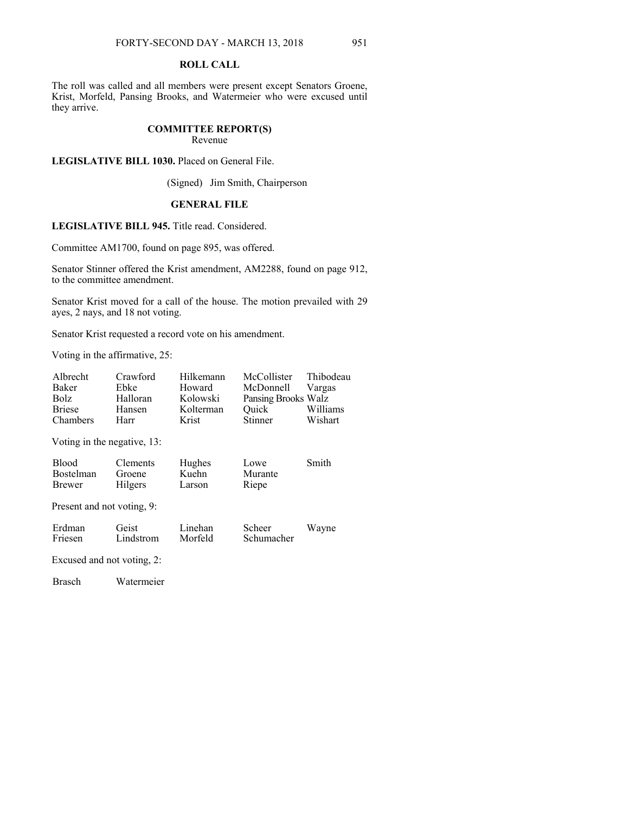## **ROLL CALL**

The roll was called and all members were present except Senators Groene, Krist, Morfeld, Pansing Brooks, and Watermeier who were excused until they arrive.

## **COMMITTEE REPORT(S)**

Revenue

LEGISLATIVE BILL 1030. Placed on General File.

(Signed) Jim Smith, Chairperson

## **GENERAL FILE**

## **LEGISLATIVE BILL 945.** Title read. Considered.

Committee AM1700, found on page 895, was offered.

Senator Stinner offered the Krist amendment, AM2288, found on page 912, to the committee amendment.

Senator Krist moved for a call of the house. The motion prevailed with 29 ayes, 2 nays, and 18 not voting.

Senator Krist requested a record vote on his amendment.

Voting in the affirmative, 25:

| Albrecht<br>Baker<br>Bolz<br><b>Briese</b><br>Chambers<br>Voting in the negative, 13: | Crawford<br>Ebke<br>Halloran<br>Hansen<br>Harr | Hilkemann<br>Howard<br>Kolowski<br>Kolterman<br>Krist | McCollister<br>McDonnell<br>Pansing Brooks Walz<br>Quick<br>Stinner | Thibodeau<br>Vargas<br>Williams<br>Wishart |  |
|---------------------------------------------------------------------------------------|------------------------------------------------|-------------------------------------------------------|---------------------------------------------------------------------|--------------------------------------------|--|
| <b>Blood</b><br><b>Bostelman</b><br><b>Brewer</b>                                     | Clements<br>Groene<br>Hilgers                  | Hughes<br>Kuehn<br>Larson                             | Lowe<br>Murante<br>Riepe                                            | Smith                                      |  |
| Present and not voting, 9:<br>Erdman                                                  | Geist                                          | Linehan                                               | Scheer                                                              | Wayne                                      |  |
| Friesen<br>Lindstrom<br>Morfeld<br>Schumacher<br>Excused and not voting, 2:           |                                                |                                                       |                                                                     |                                            |  |

Brasch Watermeier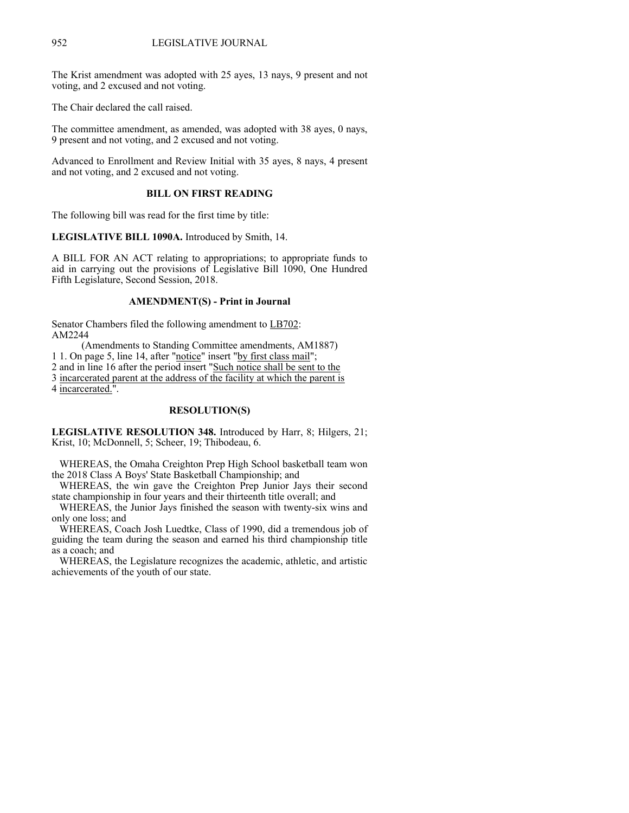The Krist amendment was adopted with 25 ayes, 13 nays, 9 present and not voting, and 2 excused and not voting.

The Chair declared the call raised.

The committee amendment, as amended, was adopted with 38 ayes, 0 nays, 9 present and not voting, and 2 excused and not voting.

Advanced to Enrollment and Review Initial with 35 ayes, 8 nays, 4 present and not voting, and 2 excused and not voting.

## **BILL ON FIRST READING**

The following bill was read for the first time by title:

**LEGISLATIVE BILL 1090A.** Introduced by Smith, 14.

A BILL FOR AN ACT relating to appropriations; to appropriate funds to aid in carrying out the provisions of Legislative Bill 1090, One Hundred Fifth Legislature, Second Session, 2018.

### **AMENDMENT(S) - Print in Journal**

Senator Chambers filed the following amendment to LB702: AM2244

(Amendments to Standing Committee amendments, AM1887) 1 1. On page 5, line 14, after "notice" insert "by first class mail"; 2 and in line 16 after the period insert "Such notice shall be sent to the 3 incarcerated parent at the address of the facility at which the parent is

4 incarcerated.".

## **RESOLUTION(S)**

**LEGISLATIVE RESOLUTION 348.** Introduced by Harr, 8; Hilgers, 21; Krist, 10; McDonnell, 5; Scheer, 19; Thibodeau, 6.

 WHEREAS, the Omaha Creighton Prep High School basketball team won the 2018 Class A Boys' State Basketball Championship; and

 WHEREAS, the win gave the Creighton Prep Junior Jays their second state championship in four years and their thirteenth title overall; and

 WHEREAS, the Junior Jays finished the season with twenty-six wins and only one loss; and

 WHEREAS, Coach Josh Luedtke, Class of 1990, did a tremendous job of guiding the team during the season and earned his third championship title as a coach; and

 WHEREAS, the Legislature recognizes the academic, athletic, and artistic achievements of the youth of our state.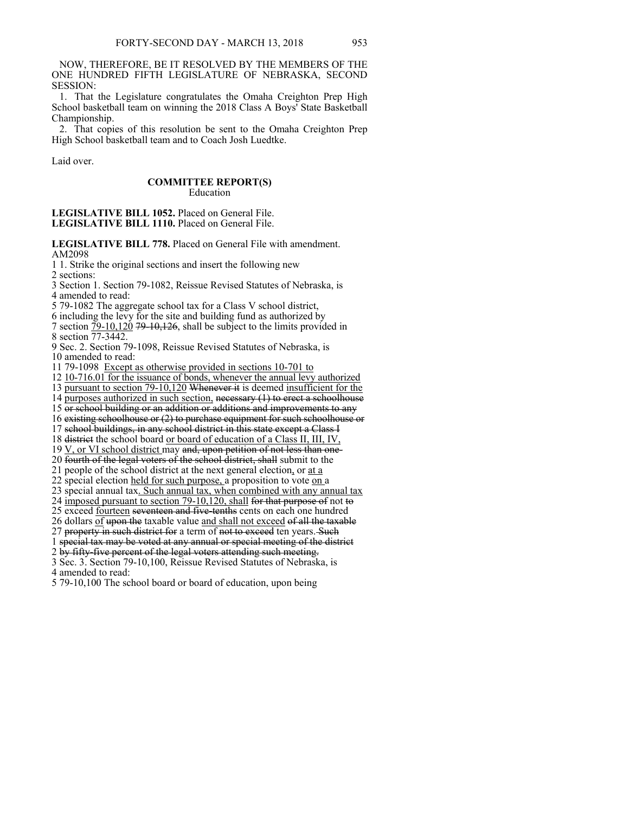NOW, THEREFORE, BE IT RESOLVED BY THE MEMBERS OF THE ONE HUNDRED FIFTH LEGISLATURE OF NEBRASKA, SECOND SESSION:

 1. That the Legislature congratulates the Omaha Creighton Prep High School basketball team on winning the 2018 Class A Boys' State Basketball Championship.

 2. That copies of this resolution be sent to the Omaha Creighton Prep High School basketball team and to Coach Josh Luedtke.

Laid over.

#### **COMMITTEE REPORT(S)**  Education

**LEGISLATIVE BILL 1052.** Placed on General File. LEGISLATIVE BILL 1110. Placed on General File.

**LEGISLATIVE BILL 778.** Placed on General File with amendment. AM2098

1 1. Strike the original sections and insert the following new 2 sections:

3 Section 1. Section 79-1082, Reissue Revised Statutes of Nebraska, is 4 amended to read:

5 79-1082 The aggregate school tax for a Class V school district,

6 including the levy for the site and building fund as authorized by

7 section  $\frac{79-10,120}{7}$  79-10,126, shall be subject to the limits provided in 8 section 77-3442.

9 Sec. 2. Section 79-1098, Reissue Revised Statutes of Nebraska, is 10 amended to read:

11 79-1098 Except as otherwise provided in sections 10-701 to

12 10-716.01 for the issuance of bonds, whenever the annual levy authorized

13 pursuant to section 79-10,120 Whenever it is deemed insufficient for the

14 purposes authorized in such section, necessary (1) to erect a schoolhouse

15 or school building or an addition or additions and improvements to any

16 existing schoolhouse or (2) to purchase equipment for such schoolhouse or

17 school buildings, in any school district in this state except a Class I

18 district the school board or board of education of a Class II, III, IV,

19 V, or VI school district may and, upon petition of not less than one-20 **fourth of the legal voters of the school district, shall** submit to the

21 people of the school district at the next general election, or at a

22 special election held for such purpose, a proposition to vote on a 23 special annual tax. Such annual tax, when combined with any annual tax

24 imposed pursuant to section 79-10,120, shall for that purpose of not to 25 exceed fourteen seventeen and five-tenths cents on each one hundred

26 dollars  $of$  upon the taxable value and shall not exceed of all the taxable

27 property in such district for a term of not to exceed ten years. Such

special tax may be voted at any annual or special meeting of the district

2 by fifty-five percent of the legal voters attending such meeting.

3 Sec. 3. Section 79-10,100, Reissue Revised Statutes of Nebraska, is 4 amended to read:

5 79-10,100 The school board or board of education, upon being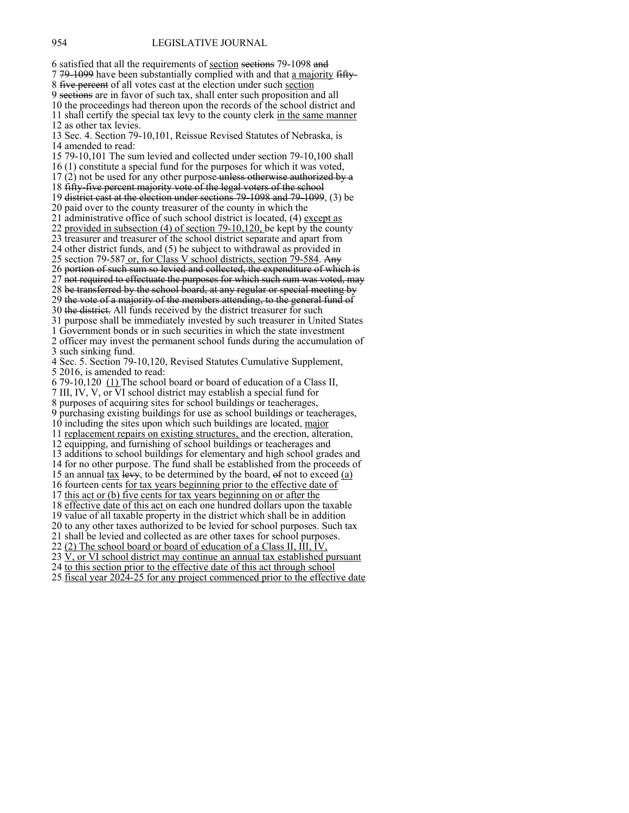6 satisfied that all the requirements of section sections 79-1098 and 7 79-1099 have been substantially complied with and that a majority fifty-8 five percent of all votes cast at the election under such section 9 sections are in favor of such tax, shall enter such proposition and all 10 the proceedings had thereon upon the records of the school district and 11 shall certify the special tax levy to the county clerk in the same manner 12 as other tax levies. 13 Sec. 4. Section 79-10,101, Reissue Revised Statutes of Nebraska, is 14 amended to read: 15 79-10,101 The sum levied and collected under section 79-10,100 shall 16 (1) constitute a special fund for the purposes for which it was voted,  $17(2)$  not be used for any other purpose unless otherwise authorized by a 18 fifty-five percent majority vote of the legal voters of the school 19 district cast at the election under sections 79-1098 and 79-1099, (3) be 20 paid over to the county treasurer of the county in which the 21 administrative office of such school district is located, (4) except as 22 provided in subsection (4) of section 79-10,120, be kept by the county 23 treasurer and treasurer of the school district separate and apart from 24 other district funds, and (5) be subject to withdrawal as provided in 25 section 79-587 or, for Class V school districts, section 79-584. Any 26 portion of such sum so levied and collected, the expenditure of which is 27 not required to effectuate the purposes for which such sum was voted, may 28 be transferred by the school board, at any regular or special meeting by 29 the vote of a majority of the members attending, to the general fund of 30 the district. All funds received by the district treasurer for such 31 purpose shall be immediately invested by such treasurer in United States 1 Government bonds or in such securities in which the state investment 2 officer may invest the permanent school funds during the accumulation of 3 such sinking fund. 4 Sec. 5. Section 79-10,120, Revised Statutes Cumulative Supplement, 5 2016, is amended to read: 6 79-10,120 (1) The school board or board of education of a Class II, 7 III, IV, V, or VI school district may establish a special fund for 8 purposes of acquiring sites for school buildings or teacherages, 9 purchasing existing buildings for use as school buildings or teacherages, 10 including the sites upon which such buildings are located, major 11 replacement repairs on existing structures, and the erection, alteration, 12 equipping, and furnishing of school buildings or teacherages and 13 additions to school buildings for elementary and high school grades and 14 for no other purpose. The fund shall be established from the proceeds of 15 an annual  $\frac{\text{tax}}{\text{levy}}$ , to be determined by the board,  $\theta$  not to exceed (a) 16 fourteen cents for tax years beginning prior to the effective date of 17 this act or (b) five cents for tax years beginning on or after the 18 effective date of this act on each one hundred dollars upon the taxable 19 value of all taxable property in the district which shall be in addition 20 to any other taxes authorized to be levied for school purposes. Such tax 21 shall be levied and collected as are other taxes for school purposes. 22 (2) The school board or board of education of a Class II,  $\overline{II}$ ,  $\overline{IV}$ ,  $23 \overline{V}$ , or VI school district may continue an annual tax established pursuant 24 to this section prior to the effective date of this act through school 25 fiscal year 2024-25 for any project commenced prior to the effective date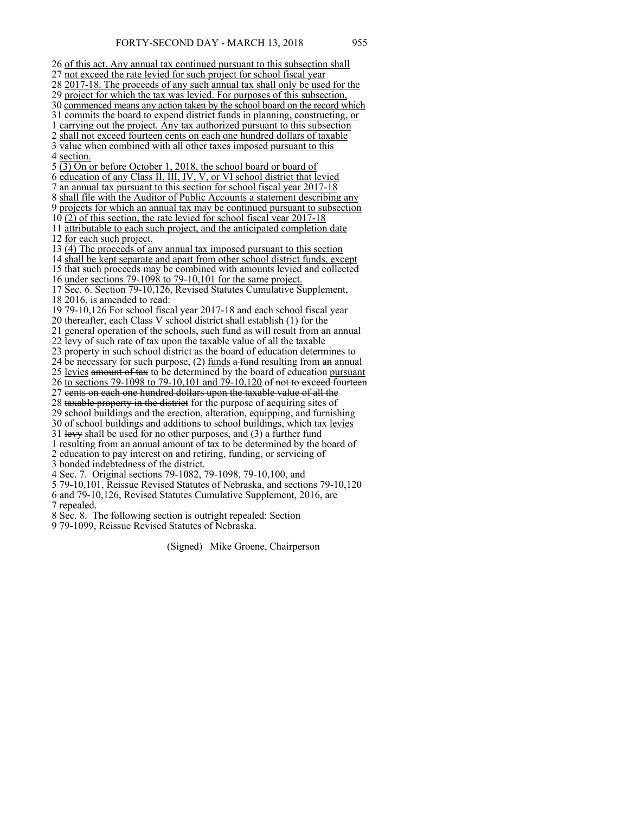26 of this act. Any annual tax continued pursuant to this subsection shall 27 not exceed the rate levied for such project for school fiscal year 28 2017-18. The proceeds of any such annual tax shall only be used for the 29 project for which the tax was levied. For purposes of this subsection, 30 commenced means any action taken by the school board on the record which 31 commits the board to expend district funds in planning, constructing, or 1 carrying out the project. Any tax authorized pursuant to this subsection 2 shall not exceed fourteen cents on each one hundred dollars of taxable 3 value when combined with all other taxes imposed pursuant to this 4 section. 5 (3) On or before October 1, 2018, the school board or board of 6 education of any Class II, III, IV, V, or VI school district that levied 7 an annual tax pursuant to this section for school fiscal year 2017-18 8 shall file with the Auditor of Public Accounts a statement describing any 9 projects for which an annual tax may be continued pursuant to subsection  $10(2)$  of this section, the rate levied for school fiscal year 2017-18 11 attributable to each such project, and the anticipated completion date 12 for each such project. 13 (4) The proceeds of any annual tax imposed pursuant to this section 14 shall be kept separate and apart from other school district funds, except 15 that such proceeds may be combined with amounts levied and collected 16 under sections 79-1098 to 79-10,101 for the same project. 17 Sec. 6. Section 79-10,126, Revised Statutes Cumulative Supplement, 18 2016, is amended to read: 19 79-10,126 For school fiscal year 2017-18 and each school fiscal year 20 thereafter, each Class V school district shall establish (1) for the 21 general operation of the schools, such fund as will result from an annual 22 levy of such rate of tax upon the taxable value of all the taxable 23 property in such school district as the board of education determines to 24 be necessary for such purpose,  $(2)$  funds a fund resulting from an annual 25 levies amount of tax to be determined by the board of education pursuant 26 to sections 79-1098 to 79-10,101 and 79-10,120 of not to exceed fourteen 27 cents on each one hundred dollars upon the taxable value of all the 28 taxable property in the district for the purpose of acquiring sites of 29 school buildings and the erection, alteration, equipping, and furnishing 30 of school buildings and additions to school buildings, which tax levies 31 levy shall be used for no other purposes, and (3) a further fund 1 resulting from an annual amount of tax to be determined by the board of 2 education to pay interest on and retiring, funding, or servicing of 3 bonded indebtedness of the district. 4 Sec. 7. Original sections 79-1082, 79-1098, 79-10,100, and 5 79-10,101, Reissue Revised Statutes of Nebraska, and sections 79-10,120 6 and 79-10,126, Revised Statutes Cumulative Supplement, 2016, are 7 repealed.

8 Sec. 8. The following section is outright repealed: Section

9 79-1099, Reissue Revised Statutes of Nebraska.

(Signed) Mike Groene, Chairperson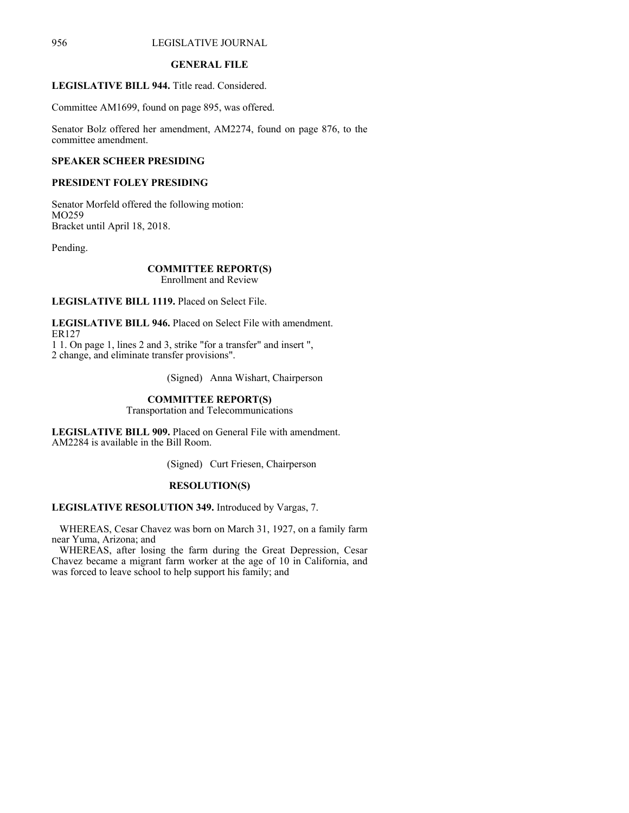#### **GENERAL FILE**

## **LEGISLATIVE BILL 944.** Title read. Considered.

Committee AM1699, found on page 895, was offered.

Senator Bolz offered her amendment, AM2274, found on page 876, to the committee amendment.

## **SPEAKER SCHEER PRESIDING**

## **PRESIDENT FOLEY PRESIDING**

Senator Morfeld offered the following motion: MO259 Bracket until April 18, 2018.

Pending.

## **COMMITTEE REPORT(S)**

Enrollment and Review

**LEGISLATIVE BILL 1119.** Placed on Select File.

**LEGISLATIVE BILL 946.** Placed on Select File with amendment. ER127

1 1. On page 1, lines 2 and 3, strike "for a transfer" and insert ", 2 change, and eliminate transfer provisions".

(Signed) Anna Wishart, Chairperson

# **COMMITTEE REPORT(S)**

Transportation and Telecommunications

**LEGISLATIVE BILL 909.** Placed on General File with amendment. AM2284 is available in the Bill Room.

(Signed) Curt Friesen, Chairperson

## **RESOLUTION(S)**

**LEGISLATIVE RESOLUTION 349.** Introduced by Vargas, 7.

 WHEREAS, Cesar Chavez was born on March 31, 1927, on a family farm near Yuma, Arizona; and

 WHEREAS, after losing the farm during the Great Depression, Cesar Chavez became a migrant farm worker at the age of 10 in California, and was forced to leave school to help support his family; and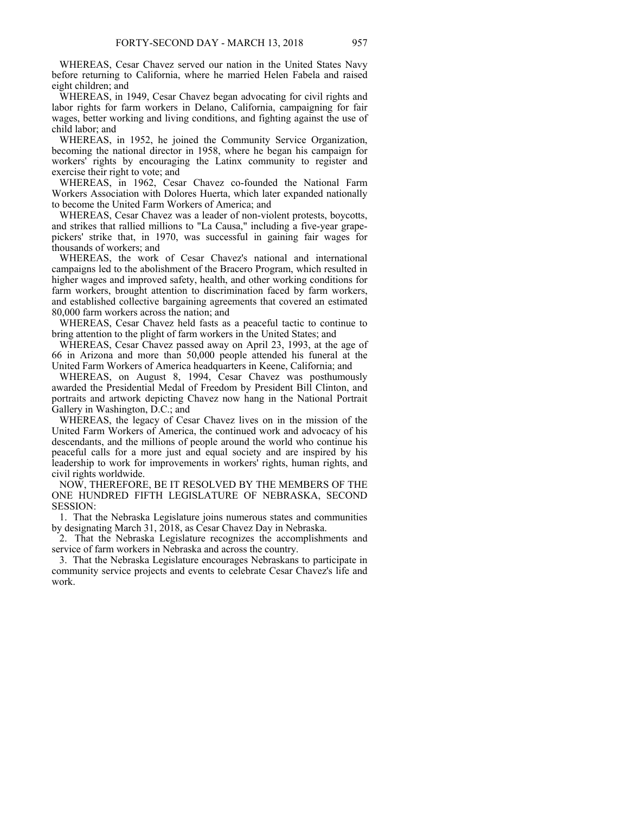WHEREAS, Cesar Chavez served our nation in the United States Navy before returning to California, where he married Helen Fabela and raised eight children; and

 WHEREAS, in 1949, Cesar Chavez began advocating for civil rights and labor rights for farm workers in Delano, California, campaigning for fair wages, better working and living conditions, and fighting against the use of child labor; and

 WHEREAS, in 1952, he joined the Community Service Organization, becoming the national director in 1958, where he began his campaign for workers' rights by encouraging the Latinx community to register and exercise their right to vote; and

 WHEREAS, in 1962, Cesar Chavez co-founded the National Farm Workers Association with Dolores Huerta, which later expanded nationally to become the United Farm Workers of America; and

 WHEREAS, Cesar Chavez was a leader of non-violent protests, boycotts, and strikes that rallied millions to "La Causa," including a five-year grapepickers' strike that, in 1970, was successful in gaining fair wages for thousands of workers; and

 WHEREAS, the work of Cesar Chavez's national and international campaigns led to the abolishment of the Bracero Program, which resulted in higher wages and improved safety, health, and other working conditions for farm workers, brought attention to discrimination faced by farm workers, and established collective bargaining agreements that covered an estimated 80,000 farm workers across the nation; and

 WHEREAS, Cesar Chavez held fasts as a peaceful tactic to continue to bring attention to the plight of farm workers in the United States; and

 WHEREAS, Cesar Chavez passed away on April 23, 1993, at the age of 66 in Arizona and more than 50,000 people attended his funeral at the United Farm Workers of America headquarters in Keene, California; and

 WHEREAS, on August 8, 1994, Cesar Chavez was posthumously awarded the Presidential Medal of Freedom by President Bill Clinton, and portraits and artwork depicting Chavez now hang in the National Portrait Gallery in Washington, D.C.; and

 WHEREAS, the legacy of Cesar Chavez lives on in the mission of the United Farm Workers of America, the continued work and advocacy of his descendants, and the millions of people around the world who continue his peaceful calls for a more just and equal society and are inspired by his leadership to work for improvements in workers' rights, human rights, and civil rights worldwide.

 NOW, THEREFORE, BE IT RESOLVED BY THE MEMBERS OF THE ONE HUNDRED FIFTH LEGISLATURE OF NEBRASKA, SECOND SESSION:

 1. That the Nebraska Legislature joins numerous states and communities by designating March 31, 2018, as Cesar Chavez Day in Nebraska.

 2. That the Nebraska Legislature recognizes the accomplishments and service of farm workers in Nebraska and across the country.

 3. That the Nebraska Legislature encourages Nebraskans to participate in community service projects and events to celebrate Cesar Chavez's life and work.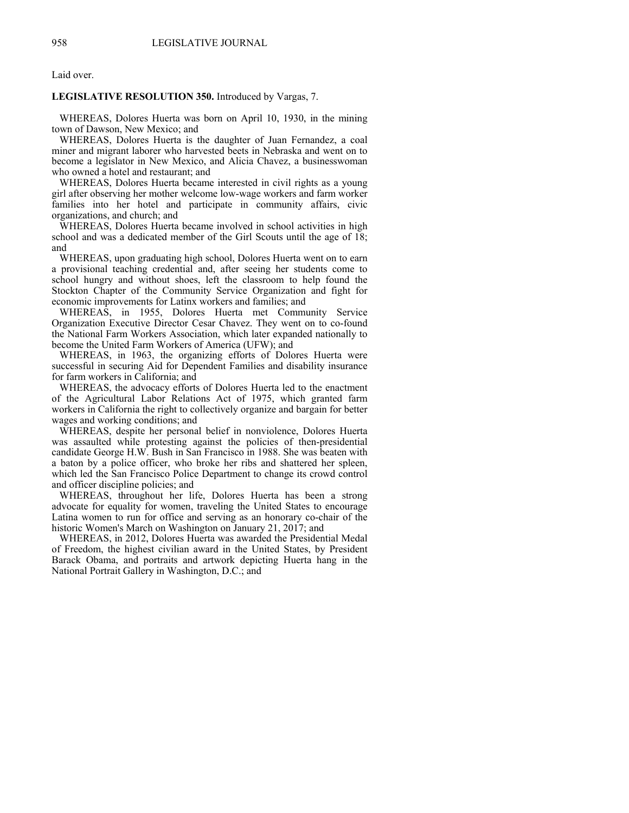Laid over.

### **LEGISLATIVE RESOLUTION 350.** Introduced by Vargas, 7.

 WHEREAS, Dolores Huerta was born on April 10, 1930, in the mining town of Dawson, New Mexico; and

 WHEREAS, Dolores Huerta is the daughter of Juan Fernandez, a coal miner and migrant laborer who harvested beets in Nebraska and went on to become a legislator in New Mexico, and Alicia Chavez, a businesswoman who owned a hotel and restaurant; and

 WHEREAS, Dolores Huerta became interested in civil rights as a young girl after observing her mother welcome low-wage workers and farm worker families into her hotel and participate in community affairs, civic organizations, and church; and

 WHEREAS, Dolores Huerta became involved in school activities in high school and was a dedicated member of the Girl Scouts until the age of 18; and

 WHEREAS, upon graduating high school, Dolores Huerta went on to earn a provisional teaching credential and, after seeing her students come to school hungry and without shoes, left the classroom to help found the Stockton Chapter of the Community Service Organization and fight for economic improvements for Latinx workers and families; and

 WHEREAS, in 1955, Dolores Huerta met Community Service Organization Executive Director Cesar Chavez. They went on to co-found the National Farm Workers Association, which later expanded nationally to become the United Farm Workers of America (UFW); and

 WHEREAS, in 1963, the organizing efforts of Dolores Huerta were successful in securing Aid for Dependent Families and disability insurance for farm workers in California; and

 WHEREAS, the advocacy efforts of Dolores Huerta led to the enactment of the Agricultural Labor Relations Act of 1975, which granted farm workers in California the right to collectively organize and bargain for better wages and working conditions; and

 WHEREAS, despite her personal belief in nonviolence, Dolores Huerta was assaulted while protesting against the policies of then-presidential candidate George H.W. Bush in San Francisco in 1988. She was beaten with a baton by a police officer, who broke her ribs and shattered her spleen, which led the San Francisco Police Department to change its crowd control and officer discipline policies; and

 WHEREAS, throughout her life, Dolores Huerta has been a strong advocate for equality for women, traveling the United States to encourage Latina women to run for office and serving as an honorary co-chair of the historic Women's March on Washington on January 21, 2017; and

 WHEREAS, in 2012, Dolores Huerta was awarded the Presidential Medal of Freedom, the highest civilian award in the United States, by President Barack Obama, and portraits and artwork depicting Huerta hang in the National Portrait Gallery in Washington, D.C.; and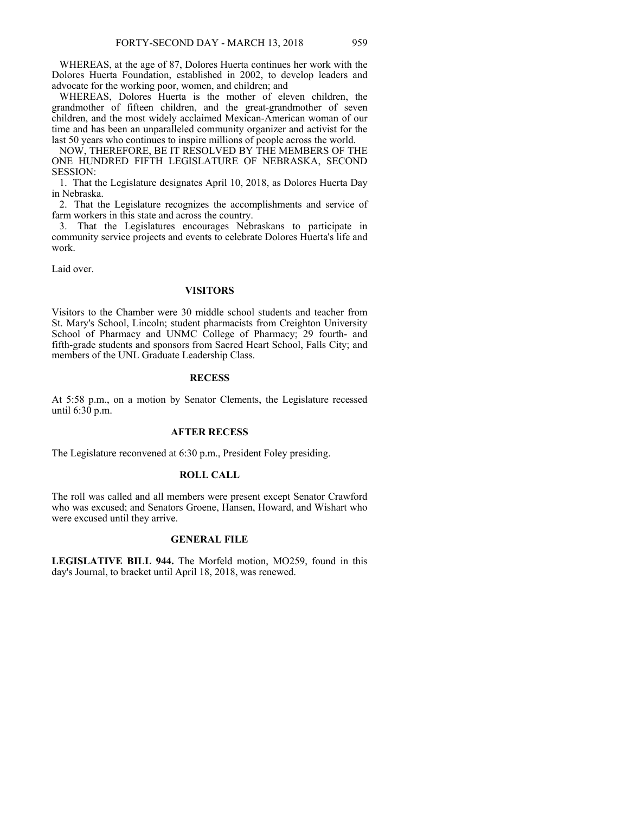WHEREAS, at the age of 87, Dolores Huerta continues her work with the Dolores Huerta Foundation, established in 2002, to develop leaders and advocate for the working poor, women, and children; and

 WHEREAS, Dolores Huerta is the mother of eleven children, the grandmother of fifteen children, and the great-grandmother of seven children, and the most widely acclaimed Mexican-American woman of our time and has been an unparalleled community organizer and activist for the last 50 years who continues to inspire millions of people across the world.

 NOW, THEREFORE, BE IT RESOLVED BY THE MEMBERS OF THE ONE HUNDRED FIFTH LEGISLATURE OF NEBRASKA, SECOND SESSION:

 1. That the Legislature designates April 10, 2018, as Dolores Huerta Day in Nebraska.

 2. That the Legislature recognizes the accomplishments and service of farm workers in this state and across the country.

 3. That the Legislatures encourages Nebraskans to participate in community service projects and events to celebrate Dolores Huerta's life and work.

Laid over.

### **VISITORS**

Visitors to the Chamber were 30 middle school students and teacher from St. Mary's School, Lincoln; student pharmacists from Creighton University School of Pharmacy and UNMC College of Pharmacy; 29 fourth- and fifth-grade students and sponsors from Sacred Heart School, Falls City; and members of the UNL Graduate Leadership Class.

## **RECESS**

At 5:58 p.m., on a motion by Senator Clements, the Legislature recessed until 6:30 p.m.

#### **AFTER RECESS**

The Legislature reconvened at 6:30 p.m., President Foley presiding.

## **ROLL CALL**

The roll was called and all members were present except Senator Crawford who was excused; and Senators Groene, Hansen, Howard, and Wishart who were excused until they arrive.

## **GENERAL FILE**

**LEGISLATIVE BILL 944.** The Morfeld motion, MO259, found in this day's Journal, to bracket until April 18, 2018, was renewed.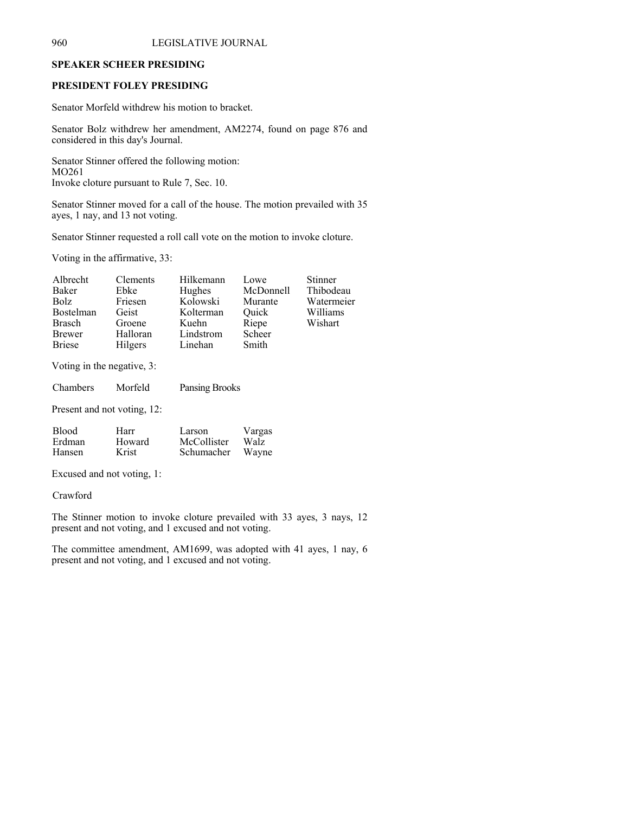## **SPEAKER SCHEER PRESIDING**

## **PRESIDENT FOLEY PRESIDING**

Senator Morfeld withdrew his motion to bracket.

Senator Bolz withdrew her amendment, AM2274, found on page 876 and considered in this day's Journal.

Senator Stinner offered the following motion: MO261 Invoke cloture pursuant to Rule 7, Sec. 10.

Senator Stinner moved for a call of the house. The motion prevailed with 35 ayes, 1 nay, and 13 not voting.

Senator Stinner requested a roll call vote on the motion to invoke cloture.

Voting in the affirmative, 33:

| Albrecht         | <b>Clements</b> | Hilkemann | Lowe      | <b>Stinner</b> |
|------------------|-----------------|-----------|-----------|----------------|
| Baker            | Ebke            | Hughes    | McDonnell | Thibodeau      |
| <b>Bolz</b>      | Friesen         | Kolowski  | Murante   | Watermeier     |
| <b>Bostelman</b> | Geist           | Kolterman | Ouick     | Williams       |
| <b>Brasch</b>    | Groene          | Kuehn     | Riepe     | Wishart        |
| <b>Brewer</b>    | Halloran        | Lindstrom | Scheer    |                |
| <b>Briese</b>    | Hilgers         | Linehan   | Smith     |                |

Voting in the negative, 3:

| Chambers | Morfeld | Pansing Brooks |
|----------|---------|----------------|
|----------|---------|----------------|

Present and not voting, 12:

| <b>Blood</b> | Harr   | Larson      | Vargas |
|--------------|--------|-------------|--------|
| Erdman       | Howard | McCollister | Walz   |
| Hansen       | Krist  | Schumacher  | Wayne  |

Excused and not voting, 1:

Crawford

The Stinner motion to invoke cloture prevailed with 33 ayes, 3 nays, 12 present and not voting, and 1 excused and not voting.

The committee amendment, AM1699, was adopted with 41 ayes, 1 nay, 6 present and not voting, and 1 excused and not voting.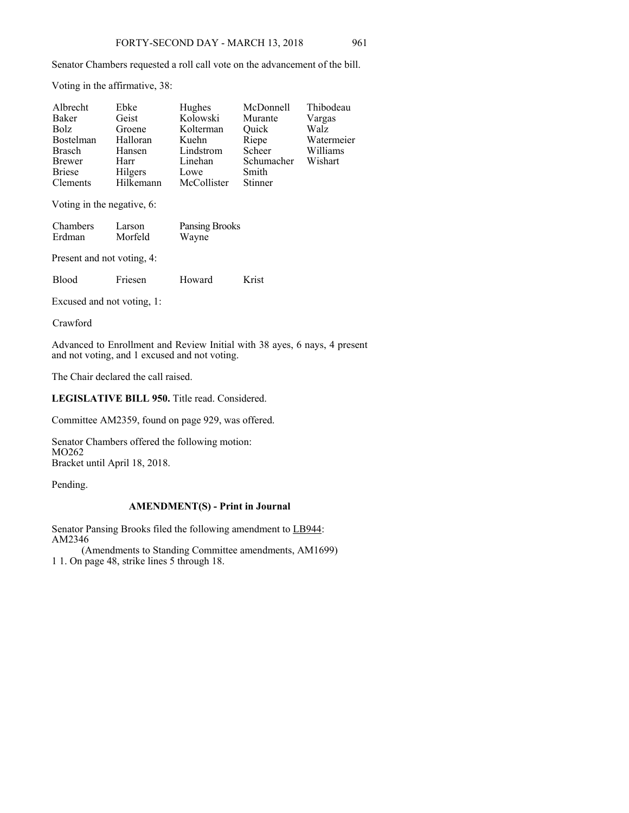Senator Chambers requested a roll call vote on the advancement of the bill.

Voting in the affirmative, 38:

| Albrecht<br><b>Baker</b><br><b>Bolz</b><br><b>Bostelman</b><br><b>Brasch</b><br><b>Brewer</b><br><b>Briese</b> | Ebke<br>Geist<br>Groene<br>Halloran<br>Hansen<br>Harr<br>Hilgers | Hughes<br>Kolowski<br>Kolterman<br>Kuehn<br>Lindstrom<br>Linehan<br>Lowe | McDonnell<br>Murante<br>Quick<br>Riepe<br>Scheer<br>Schumacher<br>Smith | Thibodeau<br>Vargas<br>Walz<br>Watermeier<br>Williams<br>Wishart |
|----------------------------------------------------------------------------------------------------------------|------------------------------------------------------------------|--------------------------------------------------------------------------|-------------------------------------------------------------------------|------------------------------------------------------------------|
| <b>Clements</b>                                                                                                | Hilkemann                                                        | McCollister                                                              | <b>Stinner</b>                                                          |                                                                  |

Voting in the negative, 6:

| Chambers<br>Erdman         | Larson<br>Morfeld | Pansing Brooks<br>Wayne |       |
|----------------------------|-------------------|-------------------------|-------|
| Present and not voting, 4: |                   |                         |       |
| <b>Blood</b>               | Friesen           | Howard                  | Krist |

Excused and not voting, 1:

Crawford

Advanced to Enrollment and Review Initial with 38 ayes, 6 nays, 4 present and not voting, and 1 excused and not voting.

The Chair declared the call raised.

LEGISLATIVE BILL 950. Title read. Considered.

Committee AM2359, found on page 929, was offered.

Senator Chambers offered the following motion: MO262 Bracket until April 18, 2018.

Pending.

## **AMENDMENT(S) - Print in Journal**

Senator Pansing Brooks filed the following amendment to LB944: AM2346

(Amendments to Standing Committee amendments, AM1699) 1 1. On page 48, strike lines 5 through 18.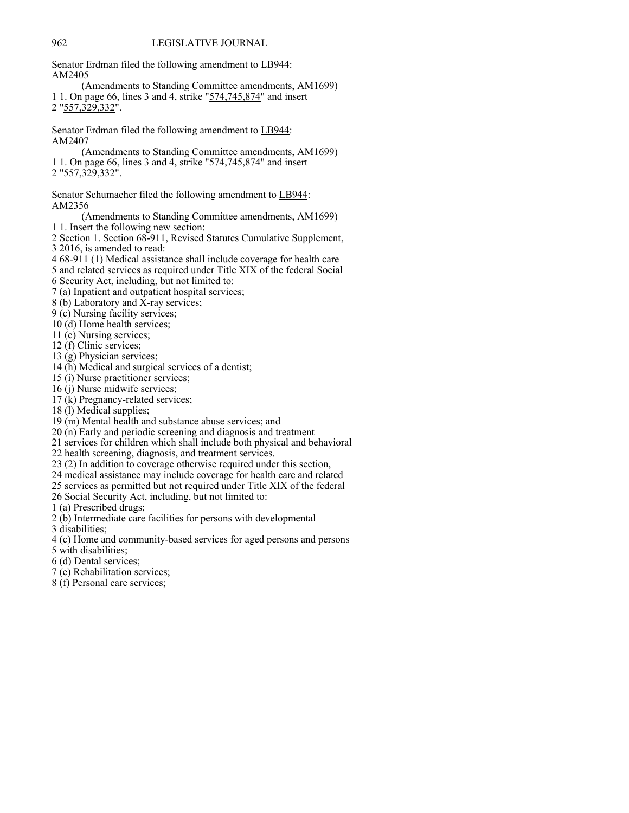Senator Erdman filed the following amendment to LB944: AM2405

(Amendments to Standing Committee amendments, AM1699) 1 1. On page 66, lines 3 and 4, strike "574,745,874" and insert 2 "557,329,332".

Senator Erdman filed the following amendment to LB944: AM2407

(Amendments to Standing Committee amendments, AM1699) 1 1. On page 66, lines 3 and 4, strike "574,745,874" and insert 2 "557,329,332".

Senator Schumacher filed the following amendment to LB944: AM2356

- (Amendments to Standing Committee amendments, AM1699)
- 1 1. Insert the following new section:
- 2 Section 1. Section 68-911, Revised Statutes Cumulative Supplement, 3 2016, is amended to read:
- 4 68-911 (1) Medical assistance shall include coverage for health care
- 5 and related services as required under Title XIX of the federal Social
- 6 Security Act, including, but not limited to:
- 7 (a) Inpatient and outpatient hospital services;
- 8 (b) Laboratory and X-ray services;
- 9 (c) Nursing facility services;
- 10 (d) Home health services;
- 11 (e) Nursing services;
- 12 (f) Clinic services;
- 13 (g) Physician services;
- 14 (h) Medical and surgical services of a dentist;
- 15 (i) Nurse practitioner services;
- 16 (j) Nurse midwife services;
- 17 (k) Pregnancy-related services;
- 18 (l) Medical supplies;
- 19 (m) Mental health and substance abuse services; and
- 20 (n) Early and periodic screening and diagnosis and treatment
- 21 services for children which shall include both physical and behavioral
- 22 health screening, diagnosis, and treatment services.
- 23 (2) In addition to coverage otherwise required under this section,
- 24 medical assistance may include coverage for health care and related
- 25 services as permitted but not required under Title XIX of the federal
- 26 Social Security Act, including, but not limited to:
- 1 (a) Prescribed drugs;
- 2 (b) Intermediate care facilities for persons with developmental
- 3 disabilities;
- 4 (c) Home and community-based services for aged persons and persons
- 5 with disabilities;
- 6 (d) Dental services;
- 7 (e) Rehabilitation services;
- 8 (f) Personal care services;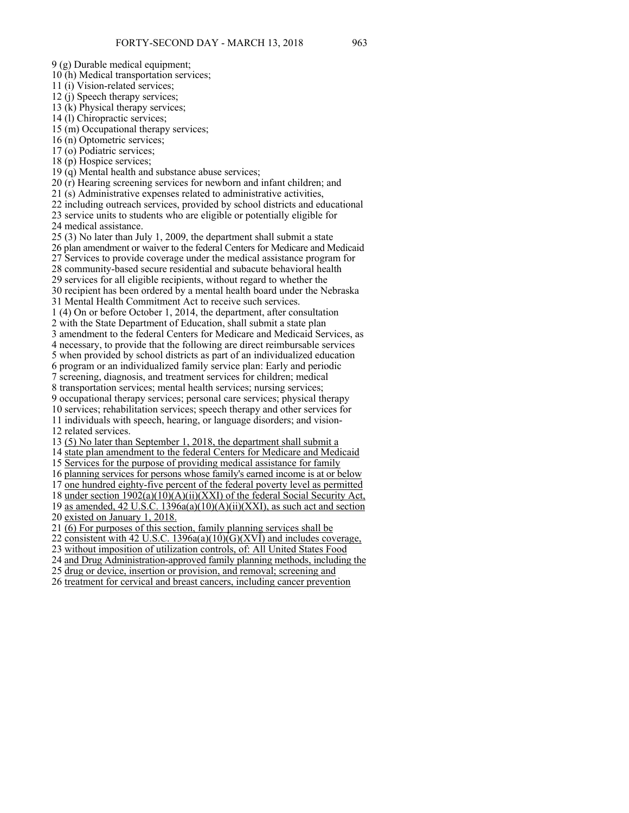9 (g) Durable medical equipment;

10 (h) Medical transportation services;

- 11 (i) Vision-related services;
- 12 (j) Speech therapy services;
- 13 (k) Physical therapy services;
- 14 (l) Chiropractic services;
- 15 (m) Occupational therapy services;
- 16 (n) Optometric services;
- 17 (o) Podiatric services;
- 18 (p) Hospice services;
- 19 (q) Mental health and substance abuse services;
- 20 (r) Hearing screening services for newborn and infant children; and
- 21 (s) Administrative expenses related to administrative activities,
- 22 including outreach services, provided by school districts and educational
- 23 service units to students who are eligible or potentially eligible for

24 medical assistance.

- 25 (3) No later than July 1, 2009, the department shall submit a state 26 plan amendment or waiver to the federal Centers for Medicare and Medicaid
- 27 Services to provide coverage under the medical assistance program for
- 28 community-based secure residential and subacute behavioral health
- 29 services for all eligible recipients, without regard to whether the 30 recipient has been ordered by a mental health board under the Nebraska
- 31 Mental Health Commitment Act to receive such services.
- 1 (4) On or before October 1, 2014, the department, after consultation 2 with the State Department of Education, shall submit a state plan 3 amendment to the federal Centers for Medicare and Medicaid Services, as 4 necessary, to provide that the following are direct reimbursable services 5 when provided by school districts as part of an individualized education 6 program or an individualized family service plan: Early and periodic
- 7 screening, diagnosis, and treatment services for children; medical
- 8 transportation services; mental health services; nursing services;
- 9 occupational therapy services; personal care services; physical therapy
- 10 services; rehabilitation services; speech therapy and other services for 11 individuals with speech, hearing, or language disorders; and vision-12 related services.
- 13 (5) No later than September 1, 2018, the department shall submit a
- 14 state plan amendment to the federal Centers for Medicare and Medicaid
- 15 Services for the purpose of providing medical assistance for family
- 16 planning services for persons whose family's earned income is at or below
- 17 one hundred eighty-five percent of the federal poverty level as permitted
- 18 under section 1902(a)(10)(A)(ii)(XXI) of the federal Social Security Act,
- 19 as amended, 42 U.S.C. 1396a(a)(10)(A)(ii)(XXI), as such act and section
- 20 existed on January 1, 2018.
- 21 (6) For purposes of this section, family planning services shall be
- 22 consistent with 42 U.S.C. 1396a(a)(10)(G)(XVI) and includes coverage,
- 23 without imposition of utilization controls, of: All United States Food
- 24 and Drug Administration-approved family planning methods, including the
- 25 drug or device, insertion or provision, and removal; screening and
- 26 treatment for cervical and breast cancers, including cancer prevention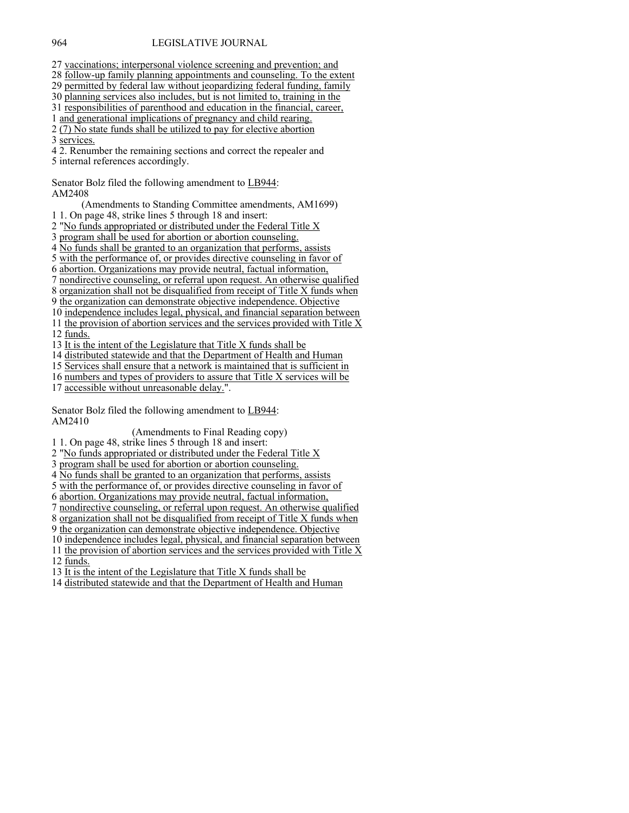27 vaccinations; interpersonal violence screening and prevention; and

- 28 follow-up family planning appointments and counseling. To the extent
- 29 permitted by federal law without jeopardizing federal funding, family
- 30 planning services also includes, but is not limited to, training in the
- 31 responsibilities of parenthood and education in the financial, career,
- 1 and generational implications of pregnancy and child rearing.
- 2 (7) No state funds shall be utilized to pay for elective abortion

3 services.

4 2. Renumber the remaining sections and correct the repealer and 5 internal references accordingly.

Senator Bolz filed the following amendment to LB944: AM2408

(Amendments to Standing Committee amendments, AM1699)

- 1 1. On page 48, strike lines 5 through 18 and insert:
- 2 "No funds appropriated or distributed under the Federal Title X
- 3 program shall be used for abortion or abortion counseling.

4 No funds shall be granted to an organization that performs, assists

- 5 with the performance of, or provides directive counseling in favor of
- 6 abortion. Organizations may provide neutral, factual information,
- 7 nondirective counseling, or referral upon request. An otherwise qualified
- 8 organization shall not be disqualified from receipt of Title X funds when
- 9 the organization can demonstrate objective independence. Objective
- 10 independence includes legal, physical, and financial separation between
- 11 the provision of abortion services and the services provided with Title X 12 funds.
- 
- 13 It is the intent of the Legislature that Title X funds shall be

14 distributed statewide and that the Department of Health and Human

- 15 Services shall ensure that a network is maintained that is sufficient in
- 16 numbers and types of providers to assure that Title X services will be

17 accessible without unreasonable delay.".

Senator Bolz filed the following amendment to LB944: AM2410

(Amendments to Final Reading copy)

1 1. On page 48, strike lines 5 through 18 and insert:

2 "No funds appropriated or distributed under the Federal Title X

3 program shall be used for abortion or abortion counseling.

4 No funds shall be granted to an organization that performs, assists

- 5 with the performance of, or provides directive counseling in favor of
- 6 abortion. Organizations may provide neutral, factual information,
- 7 nondirective counseling, or referral upon request. An otherwise qualified
- 8 organization shall not be disqualified from receipt of Title X funds when
- 9 the organization can demonstrate objective independence. Objective
- 10 independence includes legal, physical, and financial separation between 11 the provision of abortion services and the services provided with Title X
- 12 funds.

13 It is the intent of the Legislature that Title X funds shall be

14 distributed statewide and that the Department of Health and Human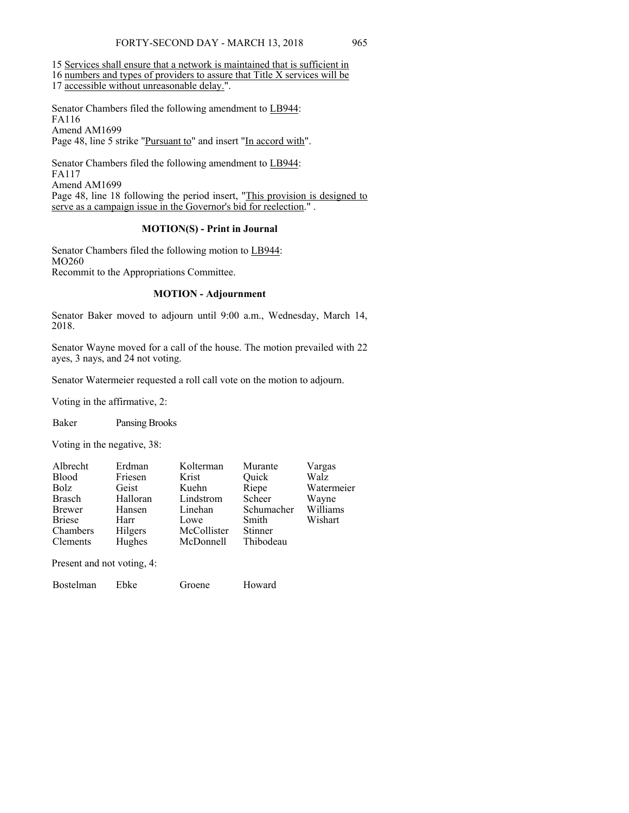15 Services shall ensure that a network is maintained that is sufficient in 16 numbers and types of providers to assure that Title X services will be

17 accessible without unreasonable delay.".

Senator Chambers filed the following amendment to LB944: FA116 Amend AM1699 Page 48, line 5 strike "Pursuant to" and insert "In accord with".

Senator Chambers filed the following amendment to LB944: FA117 Amend AM1699 Page 48, line 18 following the period insert, "This provision is designed to serve as a campaign issue in the Governor's bid for reelection." .

### **MOTION(S) - Print in Journal**

Senator Chambers filed the following motion to LB944: MO260 Recommit to the Appropriations Committee.

## **MOTION - Adjournment**

Senator Baker moved to adjourn until 9:00 a.m., Wednesday, March 14, 2018.

Senator Wayne moved for a call of the house. The motion prevailed with 22 ayes, 3 nays, and 24 not voting.

Senator Watermeier requested a roll call vote on the motion to adjourn.

Voting in the affirmative, 2:

Baker Pansing Brooks

Voting in the negative, 38:

| Albrecht                   | Erdman   | Kolterman   | Murante        | Vargas     |
|----------------------------|----------|-------------|----------------|------------|
| <b>Blood</b>               | Friesen  | Krist       | Ouick          | Walz       |
| Bolz                       | Geist    | Kuehn       | Riepe          | Watermeier |
| <b>Brasch</b>              | Halloran | Lindstrom   | Scheer         | Wayne      |
| <b>Brewer</b>              | Hansen   | Linehan     | Schumacher     | Williams   |
| <b>Briese</b>              | Harr     | Lowe        | Smith          | Wishart    |
| Chambers                   | Hilgers  | McCollister | <b>Stinner</b> |            |
| Clements                   | Hughes   | McDonnell   | Thibodeau      |            |
| Present and not voting, 4: |          |             |                |            |

Bostelman Ebke Groene Howard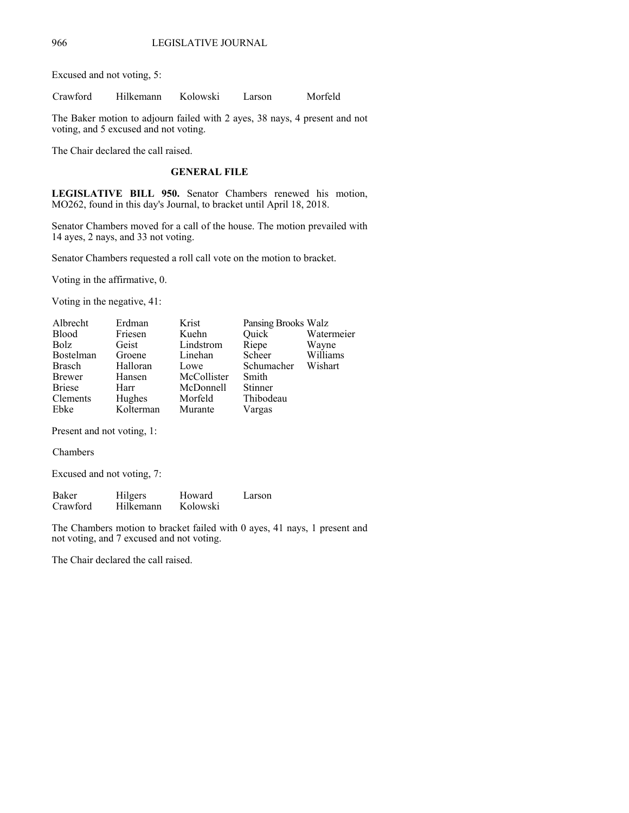Excused and not voting, 5:

Crawford Hilkemann Kolowski Larson Morfeld

The Baker motion to adjourn failed with 2 ayes, 38 nays, 4 present and not voting, and 5 excused and not voting.

The Chair declared the call raised.

## **GENERAL FILE**

**LEGISLATIVE BILL 950.** Senator Chambers renewed his motion, MO262, found in this day's Journal, to bracket until April 18, 2018.

Senator Chambers moved for a call of the house. The motion prevailed with 14 ayes, 2 nays, and 33 not voting.

Senator Chambers requested a roll call vote on the motion to bracket.

Voting in the affirmative, 0.

Voting in the negative, 41:

| Albrecht      | Erdman    | Krist       | Pansing Brooks Walz |            |
|---------------|-----------|-------------|---------------------|------------|
| <b>Blood</b>  | Friesen   | Kuehn       | Quick               | Watermeier |
| <b>Bolz</b>   | Geist     | Lindstrom   | Riepe               | Wayne      |
| Bostelman     | Groene    | Linehan     | Scheer              | Williams   |
| Brasch        | Halloran  | Lowe        | Schumacher          | Wishart    |
| <b>Brewer</b> | Hansen    | McCollister | Smith               |            |
| <b>Briese</b> | Harr      | McDonnell   | <b>Stinner</b>      |            |
| Clements      | Hughes    | Morfeld     | Thibodeau           |            |
| Ebke          | Kolterman | Murante     | Vargas              |            |

Present and not voting, 1:

Chambers

Excused and not voting, 7:

| Baker    | Hilgers   | Howard   | Larson |
|----------|-----------|----------|--------|
| Crawford | Hilkemann | Kolowski |        |

The Chambers motion to bracket failed with 0 ayes, 41 nays, 1 present and not voting, and 7 excused and not voting.

The Chair declared the call raised.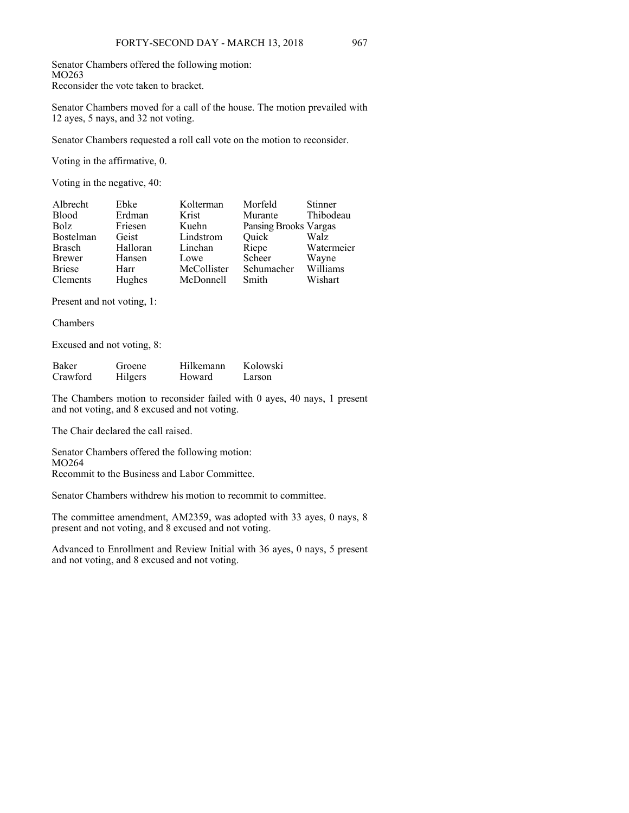Senator Chambers offered the following motion: MO263 Reconsider the vote taken to bracket.

Senator Chambers moved for a call of the house. The motion prevailed with 12 ayes, 5 nays, and 32 not voting.

Senator Chambers requested a roll call vote on the motion to reconsider.

Voting in the affirmative, 0.

Voting in the negative, 40:

| Albrecht         | Ebke     | Kolterman   | Morfeld               | <b>Stinner</b> |
|------------------|----------|-------------|-----------------------|----------------|
| <b>Blood</b>     | Erdman   | Krist       | Murante               | Thibodeau      |
| <b>Bolz</b>      | Friesen  | Kuehn       | Pansing Brooks Vargas |                |
| <b>Bostelman</b> | Geist    | Lindstrom   | Quick                 | Walz           |
| <b>Brasch</b>    | Halloran | Linehan     | Riepe                 | Watermeier     |
| <b>Brewer</b>    | Hansen   | Lowe        | Scheer                | Wayne          |
| <b>Briese</b>    | Harr     | McCollister | Schumacher            | Williams       |
| <b>Clements</b>  | Hughes   | McDonnell   | Smith                 | Wishart        |

Present and not voting, 1:

Chambers

Excused and not voting, 8:

| Baker    | Groene  | Hilkemann | Kolowski |
|----------|---------|-----------|----------|
| Crawford | Hilgers | Howard    | Larson   |

The Chambers motion to reconsider failed with 0 ayes, 40 nays, 1 present and not voting, and 8 excused and not voting.

The Chair declared the call raised.

Senator Chambers offered the following motion: MO264 Recommit to the Business and Labor Committee.

Senator Chambers withdrew his motion to recommit to committee.

The committee amendment, AM2359, was adopted with 33 ayes, 0 nays, 8 present and not voting, and 8 excused and not voting.

Advanced to Enrollment and Review Initial with 36 ayes, 0 nays, 5 present and not voting, and 8 excused and not voting.